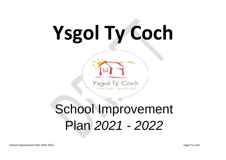# **Ysgol Ty Coch**

# School Improvement Plan *2021 - 2022*

Coch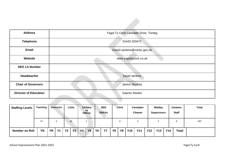| <b>Address</b>               | Ysgol Ty Coch Lansdale Drive, Tonteg |
|------------------------------|--------------------------------------|
| <b>Telephone</b>             | 01443 203471                         |
| Email                        | David.t.jenkins@rctcbc.gov.uk        |
| Website                      | www.ysgoltycoch.co.uk                |
| <b>DES LA Number</b>         |                                      |
| Headteacher                  | David Jenkins                        |
| <b>Chair of Governors</b>    | Janice Stuckey                       |
| <b>Director of Education</b> | <b>Gaynor Davies</b>                 |

| <b>Staffing Levels</b> | Teaching  |           | <b>Instructor</b> |           | <b>LSAs</b> |           | Childca<br>re<br><b>Officer</b> |           | <b>SEN</b><br><b>SNSAs</b> |           | <b>Clerk</b> |            | <b>Caretaker</b><br><b>Cleaner</b> |            | <b>Midday</b><br><b>Supervisors</b> |            | <b>Canteen</b><br><b>Staff</b> | Total |
|------------------------|-----------|-----------|-------------------|-----------|-------------|-----------|---------------------------------|-----------|----------------------------|-----------|--------------|------------|------------------------------------|------------|-------------------------------------|------------|--------------------------------|-------|
|                        | 24        |           |                   |           | 65          |           |                                 |           |                            |           | 4            |            |                                    |            |                                     |            | 4                              | 107   |
| <b>Number on Roll</b>  | <b>YN</b> | <b>YR</b> | <b>Y1</b>         | <b>Y2</b> | <b>Y3</b>   | <b>Y4</b> | <b>Y5</b>                       | <b>Y6</b> | <b>Y7</b>                  | <b>Y8</b> | <b>Y9</b>    | <b>Y10</b> | <b>Y11</b>                         | <b>Y12</b> | Y13                                 | <b>Y14</b> | <b>Total</b>                   |       |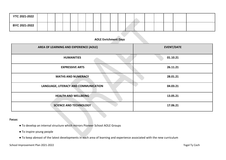| <b>YTC 2021-2022</b> |  |  |  |  |  |  |  |  |  |
|----------------------|--|--|--|--|--|--|--|--|--|
| BYC 2021-2022        |  |  |  |  |  |  |  |  |  |

#### **AOLE Enrichment Days**

| AREA OF LEARNING AND EXPERIENCE (AOLE) | <b>EVENT/DATE</b> |
|----------------------------------------|-------------------|
| <b>HUMANITIES</b>                      | 01.10.21          |
| <b>EXPRESSIVE ARTS</b>                 | 26.11.21          |
| <b>MATHS AND NUMERACY</b>              | 28.01.21          |
| LANGUAGE, LITERACY AND COMMUNICATION   | 04.03.21          |
| <b>HEALTH AND WELLBEING</b>            | 13.05.21          |
| <b>SCIENCE AND TECHNOLOGY</b>          | 17.06.21          |

#### **Focus:**

- To develop an internal structure which mirrors Pioneer School AOLE Groups
- To inspire young people
- To keep abreast of the latest developments in each area of learning and experience associated with the new curriculum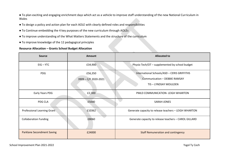● To plan exciting and engaging enrichment days which act as a vehicle to improve staff understanding of the new National Curriculum in Wales

- To design a policy and action plan for each AOLE with clearly defined roles and responsibilities
- To Continue embedding the 4 key purposes of the new curriculum through AOLEs
- To improve understanding of the What Matters Statements and the structure of the curriculum
- To improve knowledge of the 12 pedagogical principles

#### **Resource Allocation – Grants School Budget Allocation**

| <b>Source</b>                     | <b>Amount</b>                   | <b>Allocated to</b>                                                                                          |
|-----------------------------------|---------------------------------|--------------------------------------------------------------------------------------------------------------|
| $EIG - YTC$                       | £34,900                         | Physio Tech/OT - supplemented by school budget                                                               |
| <b>PDG</b>                        | £56,350<br>3909 - C/F 2020-2021 | International Schools/ASD - CERIS GRIFFITHS<br><b>Communication - DEBBIE RAMSAY</b><br>TIS - LYNDSAY MOULDEN |
| Early Years PDG                   | £2,300                          | PMLD COMMUNICATION- LEIGH WHARTON                                                                            |
| PDG CLA                           | £5000                           | <b>SARAH JONES</b>                                                                                           |
| Professional Learning Grant       | £10362                          | Generate capacity to release teachers - LEIGH WHARTON                                                        |
| <b>Collaboration Funding</b>      | £8060                           | Generate capacity to release teachers - CAROL GILLARD                                                        |
| <b>Parklane Secondment Saving</b> | £24000                          | <b>Staff Remuneration and contingency</b>                                                                    |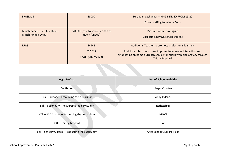| <b>ERASMUS</b>                                       | £8000                                                | European exchanges - RING FENCED FROM 19-20                                                                                                                                                                                   |
|------------------------------------------------------|------------------------------------------------------|-------------------------------------------------------------------------------------------------------------------------------------------------------------------------------------------------------------------------------|
|                                                      |                                                      | Offset staffing to release Ceris                                                                                                                                                                                              |
| Maintenance Grant (estates) -<br>Match funded by RCT | £20,000 (cost to school = $5000$ as<br>match funded) | KS3 bathroom reconfigure<br>Dosbarth Lindysyn refurbishment                                                                                                                                                                   |
| <b>RRRS</b>                                          | £4448<br>£12,617<br>£7780 (2022/2023)                | Additional Teacher to promote professional learning<br>Additional classroom cover to promote intensive interaction and<br>establishing an home outreach service for pupils with high anxiety through<br><b>Taith Y Meddwl</b> |

| <b>Ysgol Ty Coch</b>                              | <b>Out of School Activities</b> |
|---------------------------------------------------|---------------------------------|
| Capitation                                        | Roger Crookes                   |
| £4k - Primary - Resourcing the curriculum         | Andy Pidcock                    |
| £4k - Secondary - Resourcing the curriculum       | Reflexology                     |
| £4k - ASD Classes - Resourcing the curriculum     | <b>MOVE</b>                     |
| £4k – Taith y Meddwl                              | D of E                          |
| £2k - Sensory Classes - Resourcing the curriculum | After School Club provision     |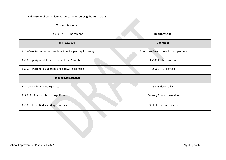| £2k – General Curriculum Resources – Resourcing the curriculum |                                        |
|----------------------------------------------------------------|----------------------------------------|
| £2k - Art Resources                                            |                                        |
| £4000 - AOLE Enrichment                                        | <b>Buarth y Capel</b>                  |
| ICT - £22,000                                                  | Capitation                             |
| £11,000 - Resources to complete 1 device per pupil strategy    | Enterprise Earnings used to supplement |
| £5000 - peripheral devices to enable SeeSaw etc                | £5000 for horticulture                 |
| £5000 - Peripherals upgrade and software licensing             | $£5000 - ICT$ refresh                  |
| <b>Planned Maintenance</b>                                     |                                        |
| £14000 - Aderyn Yard Updates                                   | Salon floor re-lay                     |
| £14000 - Assistive Technology Resources                        | Sensory Room conversion                |
| £6000 - Identified spending priorities                         | KS3 toilet reconfiguration             |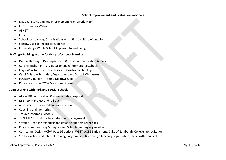#### **School Improvement and Evaluation Rationale**

- National Evaluation and Improvement Framework (NEIF)
- Curriculum for Wales
- ALNET
- ESTYN
- Schools as Learning Organisations creating a culture of enquiry
- SeeSaw used to record all evidence
- Embedding a Whole School Approach to Wellbeing

#### **Staffing – Building in time for rich professional learning**

- Debbie Ramsay ASD Department & Total Communication Approach
- Ceris Griffiths Primary Department & International Schools
- Leigh Wharton Sensory Classes & Assistive Technology
- Carol Gillard Secondary Department and School Minibusses
- Lyndsay Moulden Taith u Meddwl & TIS
- Dawn Lawman BYC & Vocational Access

#### **Joint Working with Parklane Special Schools**

- ALN IPD coordination & administration support
- RSE Joint project and roll out
- Assessment bsquared and moderation
- Coaching and mentoring
- Trauma informed Schools
- TEAM TEACH and positive behaviour management
- Staffing Pooling expertise and creating our own relief bank
- Professional Learning & Enquiry and Schools learning organisation
- Curriculum Design CfW, Post 16 options, WEST, AOLE Enrichment, Duke of Edinburgh, College, accreditation
- Staff induction and internal training programme Becoming a teaching organisation links with University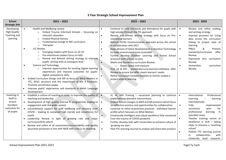#### **3 Year Strategic School Improvement Plan**

| <b>School</b><br><b>Strategic Aim</b>                                         | $2021 - 2022$                                                                                                                                                                                                                                                                                                                                                                                                                                                                                                                                                                                                                                                                                                                                                                                                                                                                                                                                                           | $2022 - 2023$                                                                                                                                                                                                                                                                                                                                                                                                                                                                                                                                                                                                                                                                                                                                                                                                                         | 2023 - 2024                                                                                                                                                                                                                                                                                                                                                                                                   |
|-------------------------------------------------------------------------------|-------------------------------------------------------------------------------------------------------------------------------------------------------------------------------------------------------------------------------------------------------------------------------------------------------------------------------------------------------------------------------------------------------------------------------------------------------------------------------------------------------------------------------------------------------------------------------------------------------------------------------------------------------------------------------------------------------------------------------------------------------------------------------------------------------------------------------------------------------------------------------------------------------------------------------------------------------------------------|---------------------------------------------------------------------------------------------------------------------------------------------------------------------------------------------------------------------------------------------------------------------------------------------------------------------------------------------------------------------------------------------------------------------------------------------------------------------------------------------------------------------------------------------------------------------------------------------------------------------------------------------------------------------------------------------------------------------------------------------------------------------------------------------------------------------------------------|---------------------------------------------------------------------------------------------------------------------------------------------------------------------------------------------------------------------------------------------------------------------------------------------------------------------------------------------------------------------------------------------------------------|
| Developing<br><b>High Quality</b><br>Teaching and<br>Learning                 | Health and Wellbeing review<br>$\bullet$<br>Embed Trauma Informed Schools - focussing on<br>$\circ$<br>reluctant attenders<br><b>Embed Physical literacy</b><br>$\circ$<br>Fundamental change to RSE curriculum<br>$\circ$<br>Therapies<br>$\circ$<br><b>LLC Review</b><br>$\bullet$<br>Emerging readers with focus on 14-19<br>$\Omega$<br>Pre-intentional readers focus on ASD<br>$\Omega$<br>Review and Refresh writing strategy to improve<br>$\mathsf{C}$<br>pupils' writing skills at emergent level<br><b>Science and Technology</b><br>$\bullet$<br>Improve opportunities for exciting Digital learning<br>$\circ$<br>experiences and improve outcomes for pupils'<br>digital competency skills<br>Embed Curriculum Design and IDP to focus on What Matters in<br>$\bullet$<br>YTC, AOLE structure and the importance of the 4 Purposes.<br>Promote enrichment weeks<br>Improve pupils' experiences and standards in Welsh Language<br>$\bullet$<br>Development | Continue to raise standards and attendance for pupils with<br>$\bullet$<br>high anxiety through the TIS approach<br>Review and refresh writing strategy with focus on Pre-<br>$\bullet$<br>intentional learners<br>Refresh TOTAL Communication approach across the school<br>$\bullet$<br>in collaboration with SALT<br>Keep abreast of latest developments in Assistive Technology<br>$\bullet$<br>to make environment more accessible<br>Further develop Outdoor Learning and Forest School<br>$\bullet$<br>provision with a focus on play<br>Maths and Numeracy curriculum Review<br>o Shape, Space and measure<br>Post 16 & BYC - standards/curriculum/accreditation offer<br>Review to ensure the offer meets learners' needs<br>Refine curriculum Context booklets to further embed a<br>$\bullet$<br>project style to learning | Review and refine reading<br>$\bullet$<br>and writing strategy<br>Improve provision for Using<br>$\bullet$<br>data across the curriculum<br>linking to project style of<br>learning<br>PMLD<br>&<br>Primary<br>$\bullet$<br>standards/curriculum<br>offer<br>Review<br>Expressive Arts curriculum<br>$\bullet$<br>Review<br><b>Humanities</b><br>curriculum<br>$\bullet$<br>Review                            |
| Investing in<br>Staff to<br>ensure<br>Excellent<br>outcomes for<br>all pupils | • Establish a culture of coaching in order to improve the quality of<br>teaching and leadership<br>• Development of high quality internal PL programmes leading to<br>engagement with the wider system<br>• Unconditional support for staff wellbeing and recovery from<br>COVID - leading to sustained high morale and consistency for<br>pupils<br>• Leadership Review in light of growing role and major<br>curriculum/ALN reform<br>Review and refine of all assessment/accountability and quality<br>assurance processes in line with NEIR with a focus on teaching                                                                                                                                                                                                                                                                                                                                                                                                | VI, HI, MSI Training $-$ succession planning to continue<br>$\bullet$<br>implementing specialist interventions<br>Embed Robust changes to MER and QA practices which focus<br>$\bullet$<br>on reflective practice and opportunities for collaboration<br>Continue to refine assessment practices - Individual learner<br>profile which focusses on What Matters<br>Emotionally intelligent and robust workforce fully recovered<br>$\bullet$<br>from the trauma of COVID pandemic<br>Further develop links with Universities to enhance culture of<br>$\bullet$<br>'growing our own'.<br>Pilot YTC learning Journal to analyse and share best practice<br>$\bullet$                                                                                                                                                                   | Professional<br>International<br>$\bullet$<br>Learning<br>learning<br>internationally<br>Fully<br>implemented<br>$\bullet$<br>succession<br>plan<br>for<br>professional<br>learning in<br>specialist areas<br>Teacher training centre of<br>excellence in ALN - taking<br>steps to become a 'teaching<br>school'<br>Publish YTC learning journal<br>collaboration<br>with<br>in<br>University level research. |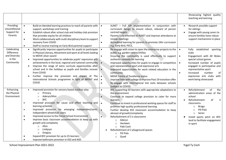|                                                                   |                                                  |                                                                                                                                                                                                                                                                                                                                                                                                                                                                                                                                                                                      |                                                  |                                                                                                                                                                                                                                                                                                                                                                                                                                                                                                                                                                               |                                                  | Showcasing highest quality<br>teaching and learning                                                                                                                                                                                                                  |
|-------------------------------------------------------------------|--------------------------------------------------|--------------------------------------------------------------------------------------------------------------------------------------------------------------------------------------------------------------------------------------------------------------------------------------------------------------------------------------------------------------------------------------------------------------------------------------------------------------------------------------------------------------------------------------------------------------------------------------|--------------------------------------------------|-------------------------------------------------------------------------------------------------------------------------------------------------------------------------------------------------------------------------------------------------------------------------------------------------------------------------------------------------------------------------------------------------------------------------------------------------------------------------------------------------------------------------------------------------------------------------------|--------------------------------------------------|----------------------------------------------------------------------------------------------------------------------------------------------------------------------------------------------------------------------------------------------------------------------|
| Providing<br>Unconditional<br>Support for<br>Parents              | $\bullet$<br>$\bullet$<br>$\bullet$<br>$\bullet$ | Build on blended learning practices to reach all parents with<br>support, workshops and training<br>Establish robust after school club and holiday club provision<br>that provides equity for all children<br>Work collaboratively with multi-disciplinary team to support<br>recovery from COVID<br>Staff to receive training on Early Bird parental support                                                                                                                                                                                                                        | $\bullet$<br>$\bullet$<br>$\bullet$              | ALNET - Full IDP implementation in conjunction with<br>curriculum design to ensure robust, relevant of person<br>centred targets<br>Parents fully informed of ALNET and improve attendance at<br>review meetings<br>Accredited learning for parents to promote 24hr curriculum<br>e.g. Early Bird, PECS,                                                                                                                                                                                                                                                                      | $\bullet$                                        | Research possible support<br>for siblings<br>Engage with young carers to<br>ensure families have robust<br>support mechanisms in place                                                                                                                               |
| Celebrating<br>Difference<br>and Diversity<br>in the<br>Community | $\bullet$<br>$\bullet$<br>$\bullet$<br>$\bullet$ | Significantly improve opportunities for pupils to participate<br>in Physical Literacy, Movement and sport at all levels leading<br>to MOVE silver award<br>Improved opportunities to celebrate pupils' expressive arts<br>achievements in the local, regional and national community<br>Improve the range of extra curricula opportunities after<br>school and in the holidays as pupils and families recover<br>from COVID<br>Further improve the provision and impact of The<br>International Schools programme in light of BREXIT and<br>COVID                                    | $\bullet$<br>$\bullet$<br>$\bullet$<br>$\bullet$ | Re-engage with vision to open the enterprise projects to the<br>public e.g. garden centre/chillies<br>Ensuring the community is used effectively to support<br>authentic contexts for learning<br>Improved opportunities for pupils to engage in competitive<br>and representative sport and expressive arts<br>Improved opportunities for work related education in the<br>community<br>MOVE Centre of Excellence status<br>Improve links with college to improve Post 19 transition offer<br>Re-engage with international link visits between schools<br>(subject to COVID) | $\bullet$<br>$\bullet$<br>$\bullet$<br>$\bullet$ | established sporting<br>Fully<br>clubs<br>Engagement with All Wales<br>special school games<br>Increased number of pupils<br>engaged in participative and<br>representative sport<br>Increased<br>number<br>of<br>expressive arts clubs with<br>work being showcased |
| Enhancing<br>the Physical<br>Environment                          | $\bullet$<br>$\bullet$<br>$\bullet$              | Improved provision for sensory based outdoor play<br>Primary<br>$\circ$<br>Aderyn/Afon<br>$\circ$<br><b>BYC</b><br>$\circ$<br>Improved provision for cause and effect teaching and<br>learning activities<br>Improved provision for emerging independent/semi-<br>independent wheelchair users<br>Improved access to the Forest School Environment<br>Improve basic classroom accommodation to keep up with<br>growth and complexity<br>Afon<br>$\circ$<br>Lindysyn<br>Dregiau<br>$\circ$<br>Expand BYC provision for up to 25 learners<br>Improve bathroom provision in KS3 and ASD | $\bullet$                                        | BYC supporting 50 learners with appropriate adaptations to<br>the environment<br>Continue to expand college provision to cater for more<br>learners<br>Continue to invest in professional working spaces for staff to<br>promote high quality professional learning<br>Further develop KS3 classroom accommodation to keep<br>abreast of growth/complexity<br>Refurbishment of 3 x classrooms<br>Aderyn<br>$\circ$<br>Heulwen<br>$\circ$<br>Pabi Coch<br>$\circ$<br>Refurbishment of 2 playground spaces<br>Pili Pala<br>Quad                                                 |                                                  | Refurbishment<br>of<br>the<br>administration areas of the<br>school<br>Refurbishment<br>of<br>З<br>classrooms<br>Broga<br>$\circ$<br>Pili Pala<br>$\circ$<br>Seren<br>$\circ$<br>Install sports pitch on BYC<br>land to facilitate engagement<br>in sport            |

School Improvement Plan 2021-2022 **The Coch Coches and Collection** Vsgol Ty Coches and Vsgol Ty Coch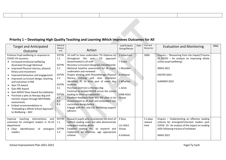| <b>Target and Anticipated</b><br>Outcome                                                                                                                                                                                                                                                                                                                                                                                                                                                                                                                                         | National<br>Mission<br>Link                                                                                            | Action                                                                                                                                                                                                                                                                                                                                                                                                                                                                                                                                                                                                                                                                                    | Lead Enguiry<br>Group/Person                                                                          | Date | Cost and<br>Resources       | <b>Evaluation and Monitoring</b>                                                                                                                                                                         | <b>RAG</b> |
|----------------------------------------------------------------------------------------------------------------------------------------------------------------------------------------------------------------------------------------------------------------------------------------------------------------------------------------------------------------------------------------------------------------------------------------------------------------------------------------------------------------------------------------------------------------------------------|------------------------------------------------------------------------------------------------------------------------|-------------------------------------------------------------------------------------------------------------------------------------------------------------------------------------------------------------------------------------------------------------------------------------------------------------------------------------------------------------------------------------------------------------------------------------------------------------------------------------------------------------------------------------------------------------------------------------------------------------------------------------------------------------------------------------------|-------------------------------------------------------------------------------------------------------|------|-----------------------------|----------------------------------------------------------------------------------------------------------------------------------------------------------------------------------------------------------|------------|
| Enhance Pupil wellbeing in response to<br>COVID-19 recovery:<br>• Increased emotional wellbeing<br>illustrated through Motional<br>• Improved Physical Literacy, physical<br>fitness and movement<br>Improved behaviour and engagement<br>Improved curriculum design, teaching<br>and outcomes in RSE<br>Gain TIS Award<br><b>Gain RRS Award</b><br><b>Gain MOVE Silver Award Accreditation</b><br>Purchase a pets as therapy dog and<br>monitor impact through MOTIONAL<br>assessments<br>Embed recommendations in<br>'Embedding a Whole School Approach<br>to Wellbeing - WG'. | <b>ESTYN</b><br>1.1<br>ESTYN<br>2.1<br><b>ESTYN</b><br>2.2<br><b>ESTYN</b><br>3.1<br><b>ESTYN</b><br>4.1<br>4.2<br>4.3 | 10 staff to have undertaken TIS Diploma by<br>throughout the year. TIS approach<br>disseminated to all staff<br>Recovery curriculum designed and delivered.<br>Motional baseline assessment for all pupils<br>undertaken and reviewed<br>Project working with Physiotherapy Physical<br>literacy training and class champion<br>identified. PL to form part of every day<br>routines<br>Purchase and train a therapy dog<br>Continue to embed MOVE across the school<br>leading to Silver accreditation<br>Excellent feedback from WG RSE pilot to be<br>disseminated to all staff and embedded into<br>curriculum design/policy<br>Engage with RCT and CSC Wellbeing support<br>advisors | S Gilbertson<br>T Evans<br>L Moulden<br>A Holland<br>L Wharton<br>L Jones<br><b>HWB AOLE</b><br>Group |      | 5000                        | Enquiry - 'Recovering from the impact/Trauma<br>of COVID - An analysis on improving whole<br>school pupil wellbeing'.<br><b>XMAS 2021</b><br>EASTER 2022<br>SUMMER 2022                                  |            |
| teaching interventions<br>Improve<br>and<br>outcomes for emergent readers in 14-19<br>department:<br>identification<br>of<br>emergent<br>$\bullet$ Clear<br>readers                                                                                                                                                                                                                                                                                                                                                                                                              | <b>ESTYN</b><br>1.1<br><b>ESTYN</b><br>1.2                                                                             | Research pupils who consistently fall short of<br>Salford reading score but who demonstrate<br>emergent reading ability<br>Establish reading PLC to research and<br>implement an effective, age appropriate<br>scheme                                                                                                                                                                                                                                                                                                                                                                                                                                                                     | E Russ<br>LLC AOLE<br>Group<br>A Holland                                                              |      | 5 x days<br>release<br>time | Enquiry - 'Implementing an effective reading<br>scheme for emergent/reluctant readers post<br>COVID-19 - An analysis of the impact on reading<br>skills following trauma of lockdown<br><b>XMAS 2021</b> |            |

# **Priority 1 – Developing High Quality Teaching and Learning Which Improves Outcomes for All**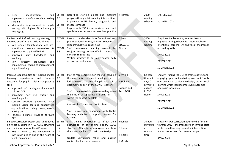| identification<br>• Clear<br>and<br>implementation of appropriate reading<br>scheme<br>Measurable improvement in pupils<br>reading with higher % achieving a<br>reading age                                                                                                                                                                                                                                                                       | <b>ESTYN</b><br>1.3<br><b>ESTYN</b><br>3.3 | Recording starting points and measure<br>progress through daily reading intervention<br>Implement WEST literacy diagnostic and<br>measure impact<br>Engage with CSC literacy advisory team and<br>special school network to share best practice                                                                                                                                                                                                                  | K Pitman                                                 | $2000 -$<br>reading<br>scheme                                             | EASTER 2022<br>SUMMER 2022                                                                                                                                                                                                                                                           |  |
|---------------------------------------------------------------------------------------------------------------------------------------------------------------------------------------------------------------------------------------------------------------------------------------------------------------------------------------------------------------------------------------------------------------------------------------------------|--------------------------------------------|------------------------------------------------------------------------------------------------------------------------------------------------------------------------------------------------------------------------------------------------------------------------------------------------------------------------------------------------------------------------------------------------------------------------------------------------------------------|----------------------------------------------------------|---------------------------------------------------------------------------|--------------------------------------------------------------------------------------------------------------------------------------------------------------------------------------------------------------------------------------------------------------------------------------|--|
| Review and Refresh writing strategy to<br>improve pupils' writing skills at all levels<br>• New scheme for intentional and pre-<br>intentional learners researched &<br>implemented e.g. RWI/POPAT<br>· Improved staff knowledge<br>and<br>teaching<br>• New strategy<br>articulated<br>and<br>implemented leading to improvement<br>in pupils writing                                                                                            | <b>ESTYN</b><br>1.1<br><b>ESTYN</b><br>3.3 | Research undertaken into 'intentional and<br>pre-intentional writing/literacy' schemes to<br>support what we already have<br>Staff professional learning around the<br>subject leading to identified schemes to<br>enhance the strategy<br>Writing strategy to be implemented daily<br>across the curriculum                                                                                                                                                     | E Russ<br>LLC AOLE<br>Group                              | 2000<br>writing<br>scheme                                                 | Enquiry - 'Implementing an effective and<br>engaging writing scheme for intentional/pre-<br>intentional learners - An analysis of the impact<br>on reading skills.<br><b>XMAS 2021</b><br>EASTER 2022<br>SUMMER 2022                                                                 |  |
| Improve opportunities for exciting Digital<br>learning experiences and improve<br>outcomes for pupils' digital competency<br>skills<br>• Improved staff training, confidence and<br>skills re: DCF<br>· Implement new DCF tracker and<br>baseline pupils<br>Context booklets populated with<br>exciting Digital learning experiences<br>e.g. animation, coding, drone, movie<br>making etc<br>· Tangible distance travelled through<br><b>DCF</b> | <b>ESTYN</b><br>1.3<br>3.3                 | Staff to receive training on the DCF including<br>the new tracker document developed in<br>lockdown - Re-baseline of pupils using this<br>documents as part of the COVID Recovery<br>Staff to receive training to ensure they know<br>the location of supportive T&L activities<br>within the context booklets<br>Ensure all ICT infrastructure in place<br>Staff to plan and experiment with Digital<br>learning activities to support context for<br>learning. | C Myhill<br>A Holland<br>Science and<br><b>Tech AOLE</b> | Release<br>time x 5<br>days C<br>Myhill to<br>engage<br>in CSC<br>cluster | Enquiry - 'Using the DCF to create exciting and<br>engaging opportunities to improve pupils' skills<br>- An analysis of curriculum design, professional<br>learning which leads to improved outcomes<br>and value for money<br><b>XMAS 2021</b><br>EASTER 2022<br><b>SUMMER 2022</b> |  |
| Embed Curriculum Design and IDP to focus<br>on What Matters in YTC, AOLE structure<br>and the importance of the 4 Purposes:<br>· IDPs & OPP to be embedded in<br>curriculum design and at the heart of<br>teachers planning                                                                                                                                                                                                                       | <b>ESTYN</b><br>3.1<br>3.2<br>4.1<br>4.2   | Staff training undertaken to refresh their<br>knowledge of curriculum design, AOLE<br>structure, ALN reform, 4 purposes and how<br>this is arranged in YTC curriculum Design<br>Update Curriculum Policy and publish<br>context booklets as a resources                                                                                                                                                                                                          | J Render<br>S Jones<br>R Rogers<br>L Morris              | 10 days<br>curriculu<br>m<br>release<br>time                              | Enquiry - 'Our curriculum Journey this far and<br>towards 2022 - the impact of enrichment, staff<br>professional learning, specialist intervention<br>and ALN reform on Curriculum Design<br><b>XMAS 2021</b>                                                                        |  |

School Improvement Plan 2021-2022 <br>
Ysgol Ty Coch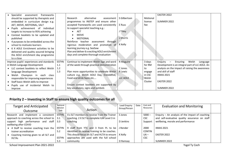| Specialist<br>frameworks<br>assessment    |              |                                               |              |          | EASTER 2022                                     |  |
|-------------------------------------------|--------------|-----------------------------------------------|--------------|----------|-------------------------------------------------|--|
| should be supported by therapists and     |              | Research<br>alternative<br>assessment         | S Gilbertson | Motional |                                                 |  |
| embedded in curriculum design e.g.        |              | programmes to INSTEP and ensure other         |              | license  | SUMMER 2022                                     |  |
| AET, MOVE, MOTIONAL, SALT                 |              | accepted frameworks are used consistently     | E Russ       | fee      |                                                 |  |
| • Pupils achievement of individual        |              | to support specialist teaching e.g.:          |              |          |                                                 |  |
| targets to increase to 95% achieving      |              | AET                                           | J Tilley     |          |                                                 |  |
| • Context booklets to be updated and      |              | <b>MOVE</b>                                   |              |          |                                                 |  |
| published                                 |              | <b>MOTIONAL</b>                               | L Morris     |          |                                                 |  |
| • 4 purposes to be embedded across the    |              | Reinforce teacher<br>assessment through       |              |          |                                                 |  |
| school to motivate learners               |              | rigorous moderation and promotion of          | K Kelly      |          |                                                 |  |
| • 6 X AOLE Enrichment activities to be    |              | learning journey e.g. SeeSaw                  |              |          |                                                 |  |
| delivered and quality assured bringing    |              | Plan and deliver 6 x exciting AOLE enrichment |              |          |                                                 |  |
| the AOLE enrichment day programme         |              | days and complete thorough evaluation         |              |          |                                                 |  |
| to a close                                |              |                                               |              |          |                                                 |  |
| Improve pupils' experiences and standards | <b>ESTYN</b> | Continue to implement Welsh Sign and word     | R Maguire    | 3 days   | Welsh<br>Enquiry<br>Ensuring<br>$-$<br>Language |  |
| in Welsh Language Development             | 1.1          | of the week through practical demonstration   |              | for RM   | Development is an integral part of LLC AOLE. An |  |
| • LLC context booklets to reflect Welsh   | 1.2          |                                               | C Jones      | to       | analysis on the impact of raising the awareness |  |
| language Development                      | 1.3          | Plan more opportunities to celebrate Welsh    | R Lewis      | engage   | and skill of staff                              |  |
| · Welsh Champion in each class            |              | culture e.g. Welsh AOLE Day, Eisteddfod,      |              | in CSC   | XMAS 2021                                       |  |
| responsible for improving experiences     |              | Food and drink fayre etc                      | LLC AOLE     | Welsh    |                                                 |  |
| • Staff basic Welsh skills to improve     |              |                                               |              | Cluster  | EASTER 2022                                     |  |
| • Pupils use of incidental Welsh to       |              | Ensure context booklets are supported by      |              |          |                                                 |  |
| improve                                   |              | key vocabulary, signs and symbols             |              |          | SUMMER 2022                                     |  |

# **Priority 2 – Investing in Staff to ensure high quality outcomes for all**

| <b>Target and Anticipated</b>                     | National<br>Mission |                                               | Lead Enguiry<br>Group/Person | Date | Cost and<br>Resources | <b>Evaluation and Monitoring</b>                  |  |
|---------------------------------------------------|---------------------|-----------------------------------------------|------------------------------|------|-----------------------|---------------------------------------------------|--|
| <b>Outcome</b>                                    | Link                | Action                                        |                              |      |                       |                                                   |  |
| Research and implement a consistent               | <b>ESTYN</b>        | 4 x SLT members to receive Train the Trainer  | S Jones                      |      | $5000 -$              | Enquiry $-$ An analysis of the impact of coaching |  |
| approach to coaching across the school to $\vert$ | 3.1                 | coaching. 2 X SLT to complete ILM Level 3 in  |                              |      | <b>CSC</b>            | and self-evaluative quality assurance on staff    |  |
| support high performance and staff 3.3            |                     | coaching                                      | D Jenkins                    |      | Support               | wellbeing, morale and performance                 |  |
| wellbeing after COVID                             |                     |                                               |                              |      |                       |                                                   |  |
| • 4 Staff to receive coaching train the           | ESTYN               | 9 staff from YTC and 3 from PL to be          | J Render                     |      | 2000                  | XMAS 2021                                         |  |
| trainer accreditation                             | 5.2                 | identified to receive training to be coaches. |                              |      | <b>CONTIN</b>         |                                                   |  |
| Coaching training given to all SLT and            |                     | This should focus on SLT and HLTA to ensure   | K Kellv                      |      | $UA -$                | EASTER 2022                                       |  |
| <b>HLTAs</b>                                      | <b>ESTYN</b>        | approaches are used with the full school      |                              |      | <b>CSC</b>            |                                                   |  |
|                                                   | 5.3                 | community                                     | D Ramsay                     |      |                       | SUMMER 2022                                       |  |

School Improvement Plan 2021-2022 **The Coch Coches and Collection** Vsgol Ty Coches and Vsgol Ty Coch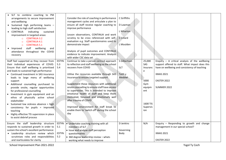| · SLT to combine coaching to PM<br>arrangements to secure improvement<br>and wellbeing<br>· Sustained high performing teams -<br>leading to high staff satisfaction<br>• CONTINUA<br>indicating<br>sustained<br>improvement in targeted areas:<br><b>CONTINUA 3.2</b><br>$\Omega$<br><b>CONTINUA 4.1</b><br><b>CONTINUA 5.1</b><br>$\circ$<br>staff wellbeing<br>• Improved<br>and<br>attendance throughout the COVID<br>recovery                                                                                                                                                                                                                                   |                                            | Consider the role of coaching in performance<br>management cycles and articulate a plan to<br>ensure all staff receive regular coaching to<br>improve performance<br>Lesson observations, CONTINUA and work<br>scrutiny to be cross referenced with self-<br>evaluation e.g. Staff questionnaires used to<br>demonstrate impact<br>Analysis of pupil outcomes and CONTINUA<br>evidence to indicate improvement. Analysis<br>with wider CSC data set                                                                                                                           | C Griffiths<br>D Lawman<br>L Wharton<br>C Gillard<br>L Moulden |                                                                                               |                                                                                                                                                                                                        |  |
|---------------------------------------------------------------------------------------------------------------------------------------------------------------------------------------------------------------------------------------------------------------------------------------------------------------------------------------------------------------------------------------------------------------------------------------------------------------------------------------------------------------------------------------------------------------------------------------------------------------------------------------------------------------------|--------------------------------------------|-------------------------------------------------------------------------------------------------------------------------------------------------------------------------------------------------------------------------------------------------------------------------------------------------------------------------------------------------------------------------------------------------------------------------------------------------------------------------------------------------------------------------------------------------------------------------------|----------------------------------------------------------------|-----------------------------------------------------------------------------------------------|--------------------------------------------------------------------------------------------------------------------------------------------------------------------------------------------------------|--|
| Staff feel supported as they recover from<br>their individual experiences of COVID.<br>Ensure that staff wellbeing is prioritised<br>and leads to sustained high performance<br>• Continued investment in SAS insurance<br>leads to large menu of wellbeing<br>support<br>Additional counselling purchased to<br>provide onsite, regular opportunities<br>for professional counselling<br>Investment in gym equipment and an<br>ethos of physically active school<br>stakeholder<br>Sustained low sickness absence = high<br>$\bullet$<br>consistency for pupils = improved<br>teaching<br>• Highly effective TIS supervision in place<br>to assist debrief process | <b>ESTYN</b><br>5.3<br>5.4                 | Continue to take a person centred approach<br>to reflection and staff wellbeing as the school<br>recovers from COVID<br>Utilise the resources available through SAS<br>insurance to ensure targeted support<br>Supplement these resources with additional<br>onsite counselling to ensure staff have access<br>to supervision. This is intended to improve<br>emotional health of staff and keep them<br>motivated, focussed and emotionally well<br>after trauma of COVID<br>Improved environment for staff break to<br>enable them to 'switch off' during the school<br>day | S Gilbertson<br><b>SLT</b><br>Taith y<br>Meddwl                | 25,000<br>SAS<br>Insuranc<br>e<br>5000<br>Gym<br>equipm<br>ent<br>1600 TIS<br>Supervis<br>ion | Enquiry $-$ A critical analysis of the wellbeing<br>support offered to staff. What impact does this<br>have on wellbeing and consistency of teaching<br><b>XMAS 2021</b><br>EASTER 2022<br>SUMMER 2022 |  |
| Ensure the staff leadership structure<br>responds to sustained growth in order to<br>sustain the school's excellent performance:<br>• Leadership structure review which<br>scrutinises roles and responsibilities<br>and rearticulates for clarity                                                                                                                                                                                                                                                                                                                                                                                                                  | <b>ESTYN</b><br>5.1<br><b>ESTYN</b><br>5.2 | • Undertake coaching training with all<br>members of SLT<br>• Issue and analyse staff perception<br>questionnaires<br>$\bullet$ 360 degree leadership review - whats<br>working what needs to improve                                                                                                                                                                                                                                                                                                                                                                         | D Jenkins<br>Governing<br>Body                                 | N/A                                                                                           | Enquiry - Responding to growth and change<br>management in our special school?<br><b>XMAS 2021</b><br>EASTER 2022                                                                                      |  |

School Improvement Plan 2021-2022 **The Coch Coches and Collection** Vsgol Ty Coches and Vsgol Ty Coch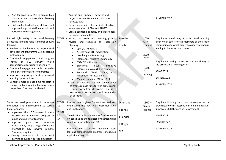| Plan for growth in BYC to ensure high<br>standards and appropriate learning<br>experiences<br>High quality leadership at all levels and<br>improved support staff leadership and<br>performance management                                                                                                                                                                                                                                                                                                                                                                                                 |                                                   | • Analyse pupil numbers, patterns and<br>projections to ensure leadership roles<br>reflect growth<br>• Ensure leadership roles facilitate effective<br>implementation of CfW and ALNET<br>• Create additional capacity and experiences<br>for leadership at all levels                                                                                                                                                                                                                                                                                                                                                                     |                                                                   |                                                                                | <b>SUMMER 2022</b>                                                                                                                                                                                                                                                                                                                    |  |
|------------------------------------------------------------------------------------------------------------------------------------------------------------------------------------------------------------------------------------------------------------------------------------------------------------------------------------------------------------------------------------------------------------------------------------------------------------------------------------------------------------------------------------------------------------------------------------------------------------|---------------------------------------------------|--------------------------------------------------------------------------------------------------------------------------------------------------------------------------------------------------------------------------------------------------------------------------------------------------------------------------------------------------------------------------------------------------------------------------------------------------------------------------------------------------------------------------------------------------------------------------------------------------------------------------------------------|-------------------------------------------------------------------|--------------------------------------------------------------------------------|---------------------------------------------------------------------------------------------------------------------------------------------------------------------------------------------------------------------------------------------------------------------------------------------------------------------------------------|--|
| Embed high quality professional learning<br>across the school to raise standards of pupil<br>learning<br>• Finalise and implement the internal staff<br>development programme using coaching<br>methodology<br>• Continued engagement and progress<br>shown on SLO surveys which<br>demonstrate clear culture of enquiry<br>• Continued engagement with the wider<br>school system to learn from practice<br>• Improved range of specialist professional<br>learning opportunities<br>• Generate more release time for staff to<br>engage in high quality learning which<br>keeps them fresh and motivated | <b>ESTYN</b><br>3.2<br>5.3<br>5.4                 | . Ensure the professional learning plan is<br>revised and focusses on succession<br>planning<br>QTVI, QTHI, QTMSI<br>$\bullet$<br>Assessment, LNF moderation<br><b>Coaching and Mentoring</b><br>Intervener, Assistive Technology<br><b>MOVE Practitioner</b><br>PECS,<br>Signalong,<br>Intensive<br>Interaction, colourful semantics<br>Rebound, TEAM TEACH,<br>Pool<br>Responder, Forest School<br>Manual Handling, MIDAS, D of E<br>. Invest in additional TA and teacher cover<br>to create release time for rich professional<br>learning away from classroom - This is to<br>ensure staff remain fresh and reduce risk<br>of burnout | J Render<br>K Kelly                                               | 2000<br><b>QTVI</b><br>Training<br>2000<br>PGCE<br>$15000 -$<br>PL<br>training | Enquiry - 'developing a professional learning<br>offer which caters for all members of the school<br>community and which creates a culture of enquiry<br>leading to improved outcomes<br>Enquiry - Creating succession and continuity in<br>the professional learning offer.<br><b>XMAS 2021</b><br>EASTER 2022<br><b>SUMMER 2022</b> |  |
| To further develop a culture of continuous<br>evaluation and improvement to secure<br>high standards:<br>• Implement the NEIF framework which<br>focusses on attainment, progress of<br>pupils and quality of teaching<br>• Improve<br>rigour<br>to<br>continuous<br>evaluation by using a range of real time<br>information e.g. surveys, SeeSaw,<br>Continua, enquiry<br>Quality assurance of professional<br>learning to support curriculum design                                                                                                                                                      | <b>ESTYN</b><br>4.1<br><b>ESTYN</b><br>5.2<br>5.4 | Ensure time is given for staff to read and<br>understand the new NEIF documentation<br>and implications<br>Tweak MER cycle to ensure its focus remains<br>on continuous and targeted evaluation using<br>real time information and QA<br>Continue work towards individual pupil<br>learning profiles where progress is measured<br>against starting points                                                                                                                                                                                                                                                                                 | <b>D</b> Jenkins<br>S Jones<br>J Render<br>R Rogers<br><b>SLT</b> | $1500 -$<br>SeeSaw<br>license                                                  | Enquiry - Holding the school to account in the<br>brave new world! - lessons learned and impact of<br>improved MER through self-assessment<br><b>XMAS 2021</b><br>EASTER 2022<br><b>SUMMER 2022</b>                                                                                                                                   |  |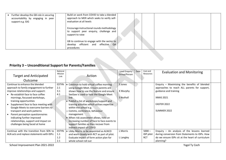| Further develop the GB role in securing<br>$\bullet$<br>accountability by engaging in peer<br>support e.g. GIG | Build on work from COVID to take a blended<br>approach to MER which seeks to verify self-<br>evaluation at all levels |  |  |
|----------------------------------------------------------------------------------------------------------------|-----------------------------------------------------------------------------------------------------------------------|--|--|
|                                                                                                                | Encourage instructional rounds methodology<br>to support peer enquiry, challenge and<br>support to raise              |  |  |
|                                                                                                                | GB to continue to engage with the sector to<br>efficient and effective QA<br>develop<br>procedures                    |  |  |

# **Priority 3 – Unconditional Support for Parents/Families**

| <b>Target and Anticipated</b><br>Outcome   | National<br>Mission<br>Link | Action                                       | Lead Enquiry<br>Group/Person | Date | Cost and<br>Resources | <b>Evaluation and Monitoring</b>                 |  |
|--------------------------------------------|-----------------------------|----------------------------------------------|------------------------------|------|-----------------------|--------------------------------------------------|--|
|                                            |                             |                                              |                              |      |                       |                                                  |  |
| Continue to enhance the blended            | <b>ESTYN</b>                | Continue to hold virtual coffee morning      | S Jones                      |      |                       | Enquiry - Maximising the benefits of blended     |  |
| approach to family engagement to further   | 2.1                         | using Google Meet. Ensure parents are        |                              |      |                       | approaches to reach ALL parents for support,     |  |
| improve relationships and support:         | 3.1                         | shown how to use the feature and ensure      | K Murphy                     |      |                       | guidance and training                            |  |
| Re-establish face to face coffee           | 4.1                         | SeeSaw is used to host the Google Meet       |                              |      |                       |                                                  |  |
| mornings, focussed workshops,              |                             | link                                         | S Nuthall                    |      |                       | <b>XMAS 2021</b>                                 |  |
| training opportunities                     |                             | • Publish a list of workshops/support and    |                              |      |                       |                                                  |  |
| Supplement face to face meeting with       |                             | training activities which utilises expertise |                              |      |                       | EASTER 2022                                      |  |
| Google Meets to overcome barriers to       |                             | within the school e.g.                       |                              |      |                       |                                                  |  |
| transport and work patterns                |                             | o Comms, continence, behaviour               |                              |      |                       | SUMMER 2022                                      |  |
| Parent perception questionnaires           |                             | management                                   |                              |      |                       |                                                  |  |
| indicating further improved                |                             | • When risk assessment allows, hold an       |                              |      |                       |                                                  |  |
| relationships, support and impact on       |                             | increasing number of face to face events to  |                              |      |                       |                                                  |  |
| challenges being faced at home             |                             | support families as they recover from        |                              |      |                       |                                                  |  |
|                                            |                             | indirect impact of COVID                     |                              |      |                       |                                                  |  |
| Continue with the transition from SEN to   | <b>ESTYN</b>                | • Libby Morris to be appointed as ALNCO      | L Morris                     |      | $5000 -$              | Enquiry $-$ An analysis of the lessons learned   |  |
| ALN acts and replace statements with IDPs: | 1.1                         | and work closely with RCT as part of pilot.  |                              |      | IDP pilot             | during conversion from Statements to IDPs. How   |  |
|                                            | 1.2                         | Evaluate impact of form action plan for      | L Langley                    |      | <b>RCT</b>            | do we ensure IDPs sit at the heart of curriculum |  |
|                                            | 2.1                         | whole school roll out                        |                              |      |                       | planning?                                        |  |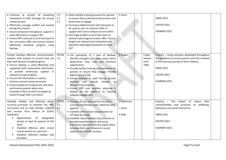| · Continue to convert all remaining<br>statements to IDPs through the annual<br>review process<br>• Effectively manage conflict and anxiety<br>during the process<br>• Ensure enhanced therapeutic support is<br>used effectively to support IDP<br>• Ensure OPP continue to sit at the heart of<br>the curriculum offer and annual reviews<br>effectively showcase progress using<br>SeeSaw                                                                                                                       | 2.2<br>3.1<br>4.1          | • Hold multiple training sessions for parents<br>to ensure they understand the process and<br>know how to engage<br>• Purchase additional SLA with therapies to<br>be used as part of universal offer to<br>support ALP and to reduce risk of conflict<br>• One Page profiles to be at the heart of<br>teachers planning/curriculum offer. Ensure<br>targets are relevant and evaluated used<br>specialist teaching/frameworks to meet<br><b>ALP</b>                    | S Jones                            |                                     | <b>XMAS 2021</b><br>EASTER 2022<br>SUMMER 2022                                                                                                                                                             |  |
|--------------------------------------------------------------------------------------------------------------------------------------------------------------------------------------------------------------------------------------------------------------------------------------------------------------------------------------------------------------------------------------------------------------------------------------------------------------------------------------------------------------------|----------------------------|-------------------------------------------------------------------------------------------------------------------------------------------------------------------------------------------------------------------------------------------------------------------------------------------------------------------------------------------------------------------------------------------------------------------------------------------------------------------------|------------------------------------|-------------------------------------|------------------------------------------------------------------------------------------------------------------------------------------------------------------------------------------------------------|--|
| Further develop effective communication<br>systems with parents to ensure they are<br>kept well abreast of pupil progress:<br>• Ensure SeeSaw is used effectively and<br>supported with assessment information<br>to provide continuous updates in<br>relation to pupil progress<br>• Ensure this information is used to<br>enhance annual review processes<br>• Ensure targets for progression and clear<br>and involve parents which also<br>empowers them to work on targets at<br>home through 24hr curriculum | <b>ESTYN</b><br>2.1        | · Full evaluation of 1 year of SeeSaw.<br>Identify strengths and refine policy which<br>determines clear rules and minimum<br>expectations<br>• Provide further training and awareness for<br>parents to ensure they engage. Provide<br>digital device if DEL<br>· Ensure SeeSaw is used during parents<br>evening and annual<br>reviews to<br>demonstrate progress<br>• Ensure OPP and teachers planning is<br>hosted on the platform to improve<br>ongoing engagement | R Rogers                           | 5 days<br>release<br>time -<br>1000 | Enquiry - Using practices developed throughout<br>the pandemic to ensure parents are fully involved<br>in the learning journey of their children.<br><b>XMAS 2021</b><br><b>EASTER 2022</b><br>SUMMER 2022 |  |
| Develop reliable and effective extra-<br>curricula provision to promote the 24hr<br>curriculum and to help families stabilise<br>and recover from effects of COVID<br>lockdowns:<br>designated<br>Appointment<br>of<br>person to lead all aspects of this<br>work<br>Establish effective after school<br>club provision art, sport etc<br>Establish effective holiday club<br>provision                                                                                                                            | <b>ESTYN</b><br>2.2<br>4.2 | • Develop JD and rationale for the extra<br>curricula coordinator post. Advertise and<br>appoint<br>• Establish after school club provision for<br>4/5 days per week<br>• Establish robust holiday club provision to<br>provide essential respite and social<br>interaction opportunities for pupils which<br>removes their over reliance on social<br>media in the COVID recovery                                                                                      | S Gilbertson<br>L Jones<br>K Kelly |                                     | Enquiry - The impact of robust after<br>school/holiday club provision on wellbeing,<br>behaviour and social interaction<br><b>XMAS 2021</b><br>EASTER 2022<br>SUMMER 2022                                  |  |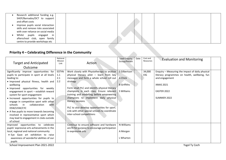| centre to provide workshops etc<br>Priority 4 - Celebrating Difference in the Community                                                                                                                    |  |  |  |
|------------------------------------------------------------------------------------------------------------------------------------------------------------------------------------------------------------|--|--|--|
| Improve pupils social interaction<br>$\bullet$<br>skills and remove risks associated<br>with over reliance on social media<br>Whilst<br>pupils engaged<br>in<br>$\bullet$<br>afterschool club, open family |  |  |  |
| Research additional funding e.g.<br>$\bullet$<br>SHEP/Barnados/DCT to support<br>and offset costs                                                                                                          |  |  |  |

### **Priority 4 – Celebrating Difference in the Community**

| <b>Target and Anticipated</b>                                                                                                                                                                                                                                                                                                                                                                                                                                                                                                                                             | National<br>Mission<br>Link       | Action                                                                                                                                                                                                                                                                                                                                                                                                                                                                               | <b>Lead Enquiry</b><br>Group/Person                         | Date | Cost and<br>Resources | <b>Evaluation and Monitoring</b>                                                                                                                                      |
|---------------------------------------------------------------------------------------------------------------------------------------------------------------------------------------------------------------------------------------------------------------------------------------------------------------------------------------------------------------------------------------------------------------------------------------------------------------------------------------------------------------------------------------------------------------------------|-----------------------------------|--------------------------------------------------------------------------------------------------------------------------------------------------------------------------------------------------------------------------------------------------------------------------------------------------------------------------------------------------------------------------------------------------------------------------------------------------------------------------------------|-------------------------------------------------------------|------|-----------------------|-----------------------------------------------------------------------------------------------------------------------------------------------------------------------|
| Outcome                                                                                                                                                                                                                                                                                                                                                                                                                                                                                                                                                                   |                                   |                                                                                                                                                                                                                                                                                                                                                                                                                                                                                      |                                                             |      |                       |                                                                                                                                                                       |
| Significantly improve opportunities for<br>pupils to participate in sport at all levels<br>leading to:<br>· Improved physical fitness, health and<br>wellbeing<br>· Improved opportunities for weekly<br>engagement in sport - establish reward<br>system for sport engagement<br>· Increased opportunities for pupils to<br>engage in competitive sport with other<br>in<br>collaboration<br>schools<br>with<br>DSW/USW/CYC<br>• A few pupils to move towards becoming<br>involved in representative sport which<br>may lead to engagement in clubs outside<br>of school | <b>ESTYN</b><br>1.1<br>2.1<br>2.2 | Work closely with Physiotherapy to analyse<br>physical literacy pilot - learn from key<br>messages and form a whole school roll out<br>strategy<br>Form small PLC and identify physical literacy<br>champions in each class. Ensure relevant<br>training and modelling before empowering<br>champions to implement daily physical<br>literacy sessions<br>PLC to also develop opportunities for sport.<br>Link with other special schools to coordinate<br>inter-school competitions | S Gilbertson<br>A Chick<br><b>B</b> Griffiths<br>S Williams |      | 34,000<br><b>EIG</b>  | Enquiry - Measuring the impact of daily physical<br>literacy programmes on health, wellbeing, fun<br>and engagement<br><b>XMAS 2021</b><br>EASTER 2022<br>SUMMER 2022 |
| Improved opportunities to celebrate<br>pupils' expressive arts achievements in the<br>local, regional and national community<br>• Eye Gaze art exhibition to raise<br>awareness of wonderful abilities of our<br>pupils                                                                                                                                                                                                                                                                                                                                                   |                                   | Continue to ensure software and hardware<br>are fit for purpose to encourage participation<br>in expressive arts                                                                                                                                                                                                                                                                                                                                                                     | N Williams<br>A Morgan<br>L Wharton                         |      |                       |                                                                                                                                                                       |
| School Improvement Plan 2021-2022                                                                                                                                                                                                                                                                                                                                                                                                                                                                                                                                         |                                   |                                                                                                                                                                                                                                                                                                                                                                                                                                                                                      |                                                             |      |                       | Ysgol Ty Coch                                                                                                                                                         |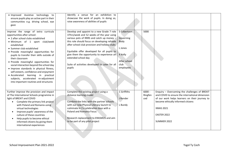| · Improved Assistive technology to<br>ensure pupils play an active part in their<br>communities e.g. driving school, eye<br>gaze                                                                                                                                                                                                                                                                                                                                                                                                                                                                      | Identify a venue for an exhibition to<br>showcase the work of pupils. In doing so,<br>raise awareness of abilities of pupils                                                                                                                                                                                                                                                                                            |                                                                                                     |                            |                                                                                                                                                                                                                                                   |  |
|-------------------------------------------------------------------------------------------------------------------------------------------------------------------------------------------------------------------------------------------------------------------------------------------------------------------------------------------------------------------------------------------------------------------------------------------------------------------------------------------------------------------------------------------------------------------------------------------------------|-------------------------------------------------------------------------------------------------------------------------------------------------------------------------------------------------------------------------------------------------------------------------------------------------------------------------------------------------------------------------------------------------------------------------|-----------------------------------------------------------------------------------------------------|----------------------------|---------------------------------------------------------------------------------------------------------------------------------------------------------------------------------------------------------------------------------------------------|--|
| Improve the range of extra curricula<br>opportunities after school:<br>• 2 after school clubs established<br>· Minimum of 1 sport club/week<br>established<br>• Summer club established<br>· Provide meaningful opportunities for<br>pupils to transfer their skills outside of<br>their classroom<br>· Provide meaningful opportunities for<br>social interaction beyond the school day<br>· Improve standards in physical fitness,<br>self-esteem, confidence and enjoyment<br>• Accelerated learning in practical<br>subjects, accelerated re-adjustment<br>into important routines and structures | Develop and appoint to a new Grade 7 role<br>37hrs/week and 52 weeks of the year using<br>various pots of RRRS and catch up money $-$<br>this role should focus on developing reliable<br>after school club provision and holiday clubs<br>Equitable offer developed for all pupils to<br>give them the opportunity to experience an<br>extended school day<br>Suite of activities developed to cater for all<br>pupils | S Gilbertson<br>Governing<br>Body<br>L Jones<br><b>K</b> Kelly<br>After school<br>club<br>employees | 5000                       |                                                                                                                                                                                                                                                   |  |
| Further improve the provision and impact<br>of The International Schools programme in<br>light of BREXIT and COVID<br>Complete the primary link project<br>$\bullet$<br>with Poland and Romania using<br>virtual technologies<br>Improve pupils' awareness of the<br>$\bullet$<br>culture of these countries<br>Help pupils to become ethical<br>informed citizens by giving them<br>international experiences                                                                                                                                                                                        | Complete the existing project using a<br>distance learning model<br>Combine the links with the partner schools<br>with our new Physical Literacy launch to<br>culminate in 2 x celebration days with a<br><b>Poland and Romania Focus</b><br>Research replacement to ERASMUS and aim<br>to be part of any pilot project                                                                                                 | C Griffiths<br>J Render<br>L Bundy                                                                  | $6000 -$<br>Ringfen<br>ced | Enquiry - Overcoming the challenges of BREXIT<br>and COVID to ensure the international dimension<br>of our work helps learners on their journey to<br>become ethically informed citizens<br><b>XMAS 2021</b><br>EASTER 2022<br><b>SUMMER 2022</b> |  |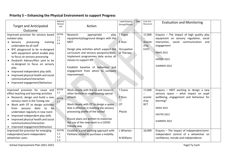# **Priority 5 – Enhancing the Physical Environment to support Progress**

| <b>Target and Anticipated</b><br>Outcome                                                                                                                                                                                                                                                                                                                                                                                                                      | National<br>Mission<br>Link                | Action                                                                                                                                                                                                                                                                                                                              | Lead Enquiry<br>Group/Person                                | Date | Cost and<br>Resources                        | <b>Evaluation and Monitoring</b>                                                                                                                                                                 |
|---------------------------------------------------------------------------------------------------------------------------------------------------------------------------------------------------------------------------------------------------------------------------------------------------------------------------------------------------------------------------------------------------------------------------------------------------------------|--------------------------------------------|-------------------------------------------------------------------------------------------------------------------------------------------------------------------------------------------------------------------------------------------------------------------------------------------------------------------------------------|-------------------------------------------------------------|------|----------------------------------------------|--------------------------------------------------------------------------------------------------------------------------------------------------------------------------------------------------|
| Improved provision for sensory based<br>outdoor play<br>processing<br>• Sensory<br>training<br>undertaken by all staff<br>• BYC playground to be re-designed<br>with equipment which enable play<br>to focus on sensory processing<br>Dosbarth Aderyn/Afon yard to be<br>re-designed to focus on sensory<br>play<br>• Improved independent play skills<br>Improved physical health and social<br>communication/interaction<br>• Improved engagement/behaviour | <b>ESTYN</b><br>2.1<br>2.2<br>5.4          | Research<br>appropriate<br>play<br>equipment/playground designs with the<br>MDT<br>Design play activities which support the<br>curriculum and sensory passports/diets.<br>Implement programmes daily across all<br>classes to support IDP<br>Establish baseline of behaviour and<br>engagement from which to compare<br>improvement | <b>T</b> Evans<br><b>E</b> Russ<br>Occupation<br>al Therapy |      | 17,000<br>Assiste<br>d by<br>FoTC            | Enquiry - The impact of high quality play<br>equipment on sensory regulation, social<br>interaction, social communication<br>and<br>engagement<br><b>XMAS 2021</b><br>EASTER 2022<br>SUMMER 2022 |
| Improved provision for cause and<br>effect teaching and learning activities<br>• Research, design and build a new<br>sensory room in the Tonteg site<br>Work with OT to design activities<br>diets<br>to<br>from<br>sensory<br>be<br>undertaken regularly in new room<br>Improved independent play skills<br>Improved physical health and social<br>communication/interaction<br>• Improved engagement/behaviour                                              | <b>ESTYN</b><br>1.1<br><b>ESTYN</b><br>2.1 | Work closely with the LA and research<br>other facilities in neighbouring special<br>schools<br>Work closely with OT to design a space<br>that is effective in meeting the sensory<br>processing profile of the school<br>Ensure plans are written to maximise<br>the use of the new room in a COVID<br>friendly way                | T Evans<br>E Russ<br><b>OT</b><br>Physio                    |      | 17,000<br>-<br>assiste<br>d by<br><b>RCT</b> | Enquiry - MDT working to design a new<br>sensory space - what impact on pupil<br>wellbeing, engagement and behaviour for<br>learning?<br><b>XMAS 2021</b><br>EASTER 2022<br>SUMMER 2022          |
| Improved the provision for emerging<br>independent/semi-independent<br>wheelchair users                                                                                                                                                                                                                                                                                                                                                                       | <b>ESTYN</b><br>1.1<br>$1.2\,$<br>1.3      | Establish a joint working approach with<br>Parklane school to purchase a mobility                                                                                                                                                                                                                                                   | L Wharton<br>N Williams                                     |      | 10,999                                       | Enquiry - The impact of independent/semi-<br>independent control of a wheelchair on<br>confidence, morale and independence                                                                       |